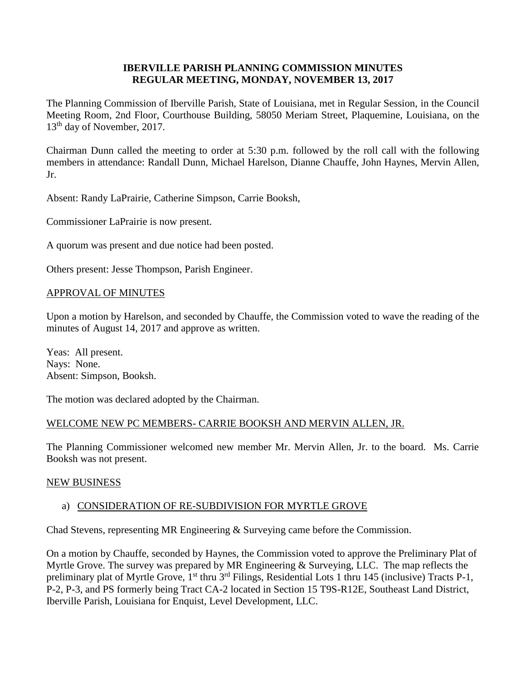## **IBERVILLE PARISH PLANNING COMMISSION MINUTES REGULAR MEETING, MONDAY, NOVEMBER 13, 2017**

The Planning Commission of Iberville Parish, State of Louisiana, met in Regular Session, in the Council Meeting Room, 2nd Floor, Courthouse Building, 58050 Meriam Street, Plaquemine, Louisiana, on the 13<sup>th</sup> day of November, 2017.

Chairman Dunn called the meeting to order at 5:30 p.m. followed by the roll call with the following members in attendance: Randall Dunn, Michael Harelson, Dianne Chauffe, John Haynes, Mervin Allen, Jr.

Absent: Randy LaPrairie, Catherine Simpson, Carrie Booksh,

Commissioner LaPrairie is now present.

A quorum was present and due notice had been posted.

Others present: Jesse Thompson, Parish Engineer.

## APPROVAL OF MINUTES

Upon a motion by Harelson, and seconded by Chauffe, the Commission voted to wave the reading of the minutes of August 14, 2017 and approve as written.

Yeas: All present. Nays: None. Absent: Simpson, Booksh.

The motion was declared adopted by the Chairman.

# WELCOME NEW PC MEMBERS- CARRIE BOOKSH AND MERVIN ALLEN, JR.

The Planning Commissioner welcomed new member Mr. Mervin Allen, Jr. to the board. Ms. Carrie Booksh was not present.

#### NEW BUSINESS

# a) CONSIDERATION OF RE-SUBDIVISION FOR MYRTLE GROVE

Chad Stevens, representing MR Engineering & Surveying came before the Commission.

On a motion by Chauffe, seconded by Haynes, the Commission voted to approve the Preliminary Plat of Myrtle Grove. The survey was prepared by MR Engineering & Surveying, LLC. The map reflects the preliminary plat of Myrtle Grove, 1<sup>st</sup> thru 3<sup>rd</sup> Filings, Residential Lots 1 thru 145 (inclusive) Tracts P-1, P-2, P-3, and PS formerly being Tract CA-2 located in Section 15 T9S-R12E, Southeast Land District, Iberville Parish, Louisiana for Enquist, Level Development, LLC.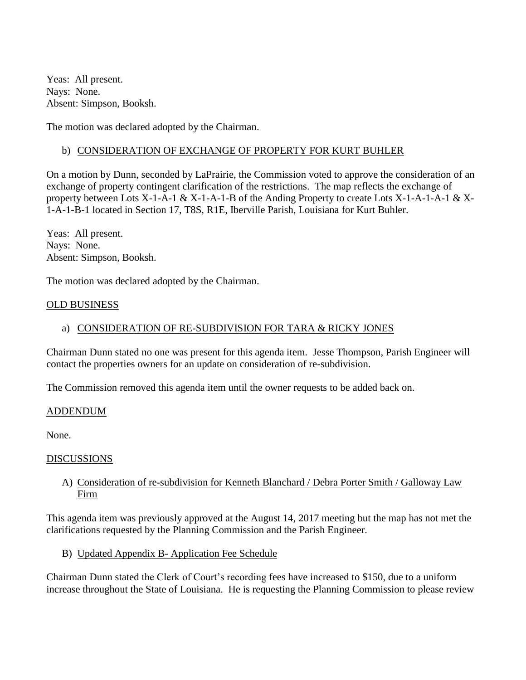Yeas: All present. Nays: None. Absent: Simpson, Booksh.

The motion was declared adopted by the Chairman.

## b) CONSIDERATION OF EXCHANGE OF PROPERTY FOR KURT BUHLER

On a motion by Dunn, seconded by LaPrairie, the Commission voted to approve the consideration of an exchange of property contingent clarification of the restrictions. The map reflects the exchange of property between Lots X-1-A-1 & X-1-A-1-B of the Anding Property to create Lots X-1-A-1-A-1 & X-1-A-1-B-1 located in Section 17, T8S, R1E, Iberville Parish, Louisiana for Kurt Buhler.

Yeas: All present. Nays: None. Absent: Simpson, Booksh.

The motion was declared adopted by the Chairman.

#### OLD BUSINESS

## a) CONSIDERATION OF RE-SUBDIVISION FOR TARA & RICKY JONES

Chairman Dunn stated no one was present for this agenda item. Jesse Thompson, Parish Engineer will contact the properties owners for an update on consideration of re-subdivision.

The Commission removed this agenda item until the owner requests to be added back on.

#### ADDENDUM

None.

#### DISCUSSIONS

## A) Consideration of re-subdivision for Kenneth Blanchard / Debra Porter Smith / Galloway Law Firm

This agenda item was previously approved at the August 14, 2017 meeting but the map has not met the clarifications requested by the Planning Commission and the Parish Engineer.

B) Updated Appendix B- Application Fee Schedule

Chairman Dunn stated the Clerk of Court's recording fees have increased to \$150, due to a uniform increase throughout the State of Louisiana. He is requesting the Planning Commission to please review